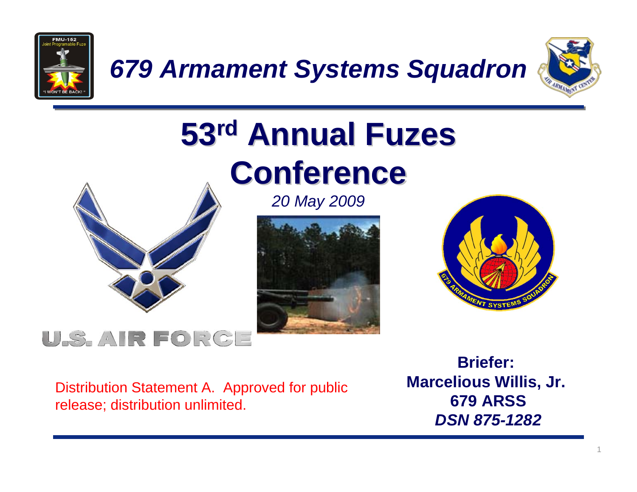

*679 Armament Systems Squadron*



# **53rd Annual Fuzes Conference**



*20 May 2009*





#### U.S. AIR FORGE

Distribution Statement A. Approved for public release; distribution unlimited.

**Briefer:Marcelious Willis, Jr. 679 ARSS**  *DSN 875-1282*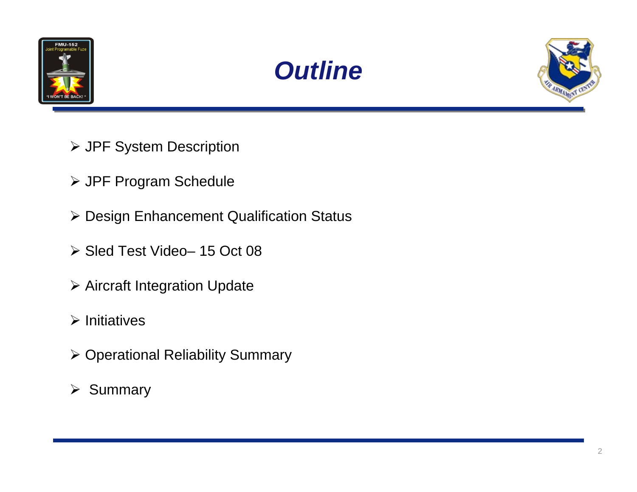





- JPF System Description
- JPF Program Schedule
- Design Enhancement Qualification Status
- Sled Test Video– 15 Oct 08
- Aircraft Integration Update
- $\triangleright$  Initiatives
- Operational Reliability Summary
- $\triangleright$  Summary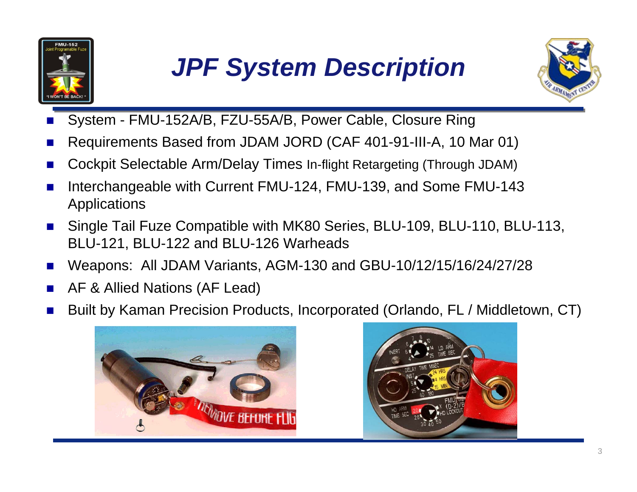

# *JPF System Description*



- × System - FMU-152A/B, FZU-55A/B, Power Cable, Closure Ring
- × Requirements Based from JDAM JORD (CAF 401-91-III-A, 10 Mar 01)
- P. Cockpit Selectable Arm/Delay Times In-flight Retargeting (Through JDAM)
- × Interchangeable with Current FMU-124, FMU-139, and Some FMU-143 Applications
- P. Single Tail Fuze Compatible with MK80 Series, BLU-109, BLU-110, BLU-113, BLU-121, BLU-122 and BLU-126 Warheads
- × Weapons: All JDAM Variants, AGM-130 and GBU-10/12/15/16/24/27/28
- m. AF & Allied Nations (AF Lead)
- × Built by Kaman Precision Products, Incorporated (Orlando, FL / Middletown, CT)



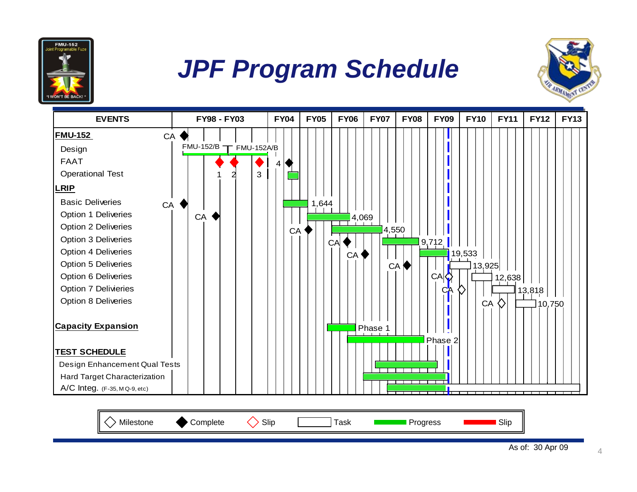

### *JPF Program Schedule*



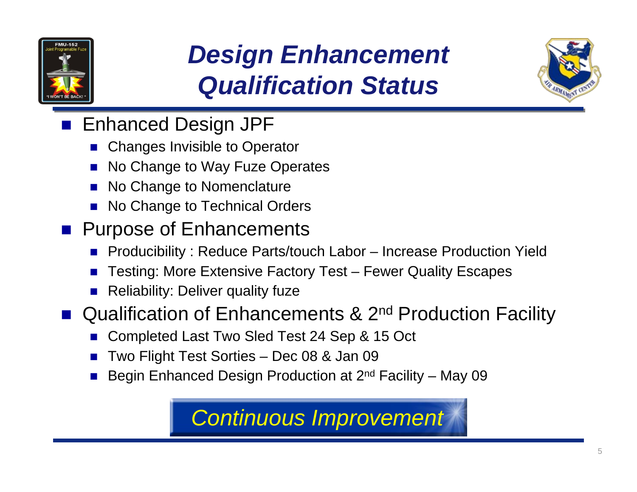

# *Design Enhancement Qualification Status*



- Enhanced Design JPF
	- Π Changes Invisible to Operator
	- F No Change to Way Fuze Operates
	- Π No Change to Nomenclature
	- Π No Change to Technical Orders
- **Purpose of Enhancements** 
	- Producibility : Reduce Parts/touch Labor Increase Production Yield
	- Π Testing: More Extensive Factory Test – Fewer Quality Escapes
	- F Reliability: Deliver quality fuze

■ Qualification of Enhancements & 2<sup>nd</sup> Production Facility

- Π Completed Last Two Sled Test 24 Sep & 15 Oct
- F Two Flight Test Sorties – Dec 08 & Jan 09
- Π Begin Enhanced Design Production at 2nd Facility – May 09

#### *Continuous Improvement*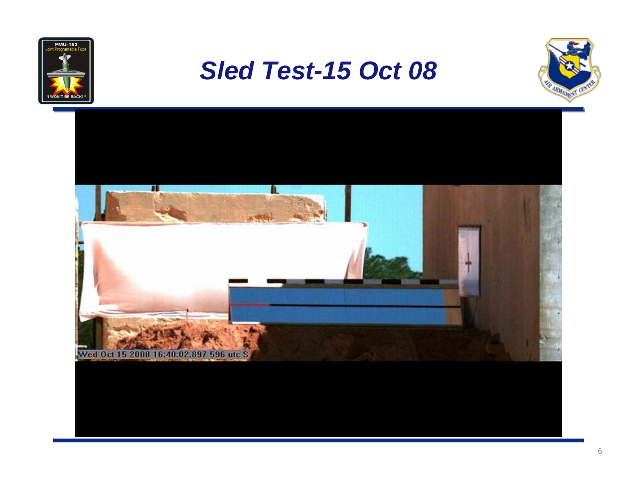

#### *Sled Test-15 Oct 08*



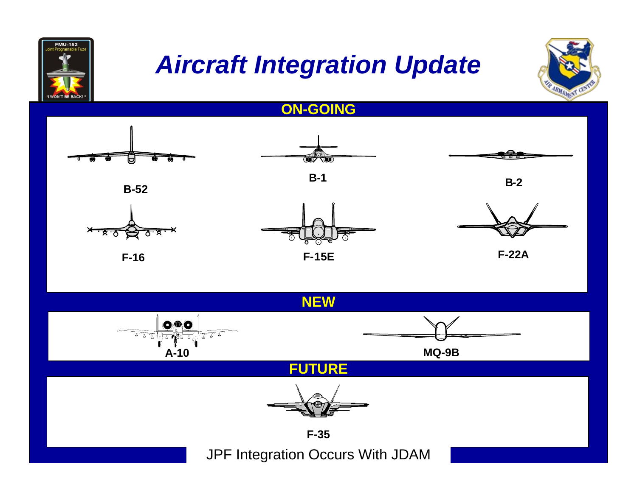![](_page_6_Picture_0.jpeg)

### *Aircraft Integration Update*

![](_page_6_Picture_2.jpeg)

**ON-GOING**

![](_page_6_Figure_4.jpeg)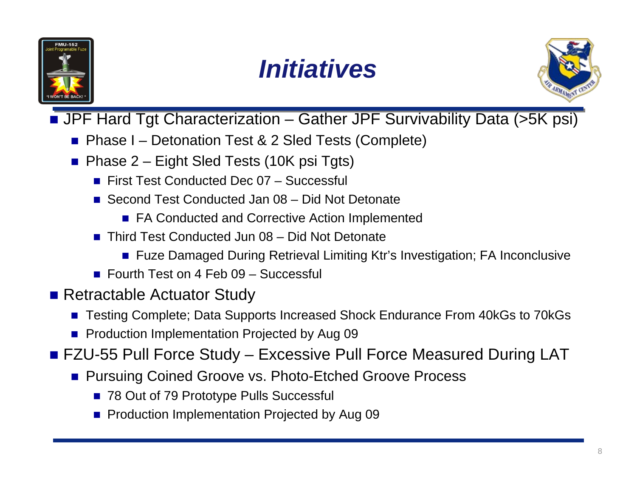![](_page_7_Picture_0.jpeg)

![](_page_7_Picture_1.jpeg)

![](_page_7_Picture_2.jpeg)

■ JPF Hard Tgt Characterization – Gather JPF Survivability Data (>5K psi)

- Phase I Detonation Test & 2 Sled Tests (Complete)
- Phase 2 Eight Sled Tests (10K psi Tgts)
	- First Test Conducted Dec 07 Successful
	- Second Test Conducted Jan 08 Did Not Detonate
		- FA Conducted and Corrective Action Implemented
	- Third Test Conducted Jun 08 Did Not Detonate
		- Fuze Damaged During Retrieval Limiting Ktr's Investigation; FA Inconclusive
	- Fourth Test on 4 Feb 09 Successful
- **Retractable Actuator Study** 
	- Testing Complete; Data Supports Increased Shock Endurance From 40kGs to 70kGs
	- **Production Implementation Projected by Aug 09**
- FZU-55 Pull Force Study Excessive Pull Force Measured During LAT
	- Pursuing Coined Groove vs. Photo-Etched Groove Process
		- 78 Out of 79 Prototype Pulls Successful
		- **Production Implementation Projected by Aug 09**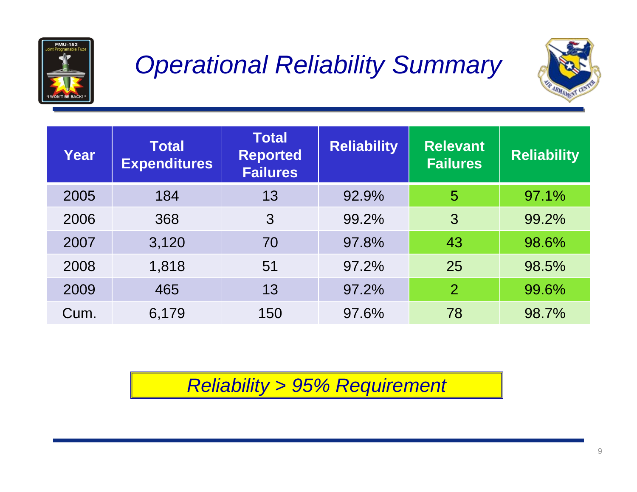![](_page_8_Picture_0.jpeg)

### *Operational Reliability Summary*

![](_page_8_Picture_2.jpeg)

| Year | <b>Total</b><br><b>Expenditures</b> | <b>Total</b><br><b>Reported</b><br><b>Failures</b> | <b>Reliability</b> | <b>Relevant</b><br><b>Failures</b> | <b>Reliability</b> |
|------|-------------------------------------|----------------------------------------------------|--------------------|------------------------------------|--------------------|
| 2005 | 184                                 | 13                                                 | 92.9%              | 5                                  | 97.1%              |
| 2006 | 368                                 | 3                                                  | 99.2%              | 3                                  | 99.2%              |
| 2007 | 3,120                               | 70                                                 | 97.8%              | 43                                 | 98.6%              |
| 2008 | 1,818                               | 51                                                 | 97.2%              | 25                                 | 98.5%              |
| 2009 | 465                                 | 13                                                 | 97.2%              | 2                                  | 99.6%              |
| Cum. | 6,179                               | 150                                                | 97.6%              | 78                                 | 98.7%              |

*Reliability > 95% Requirement*